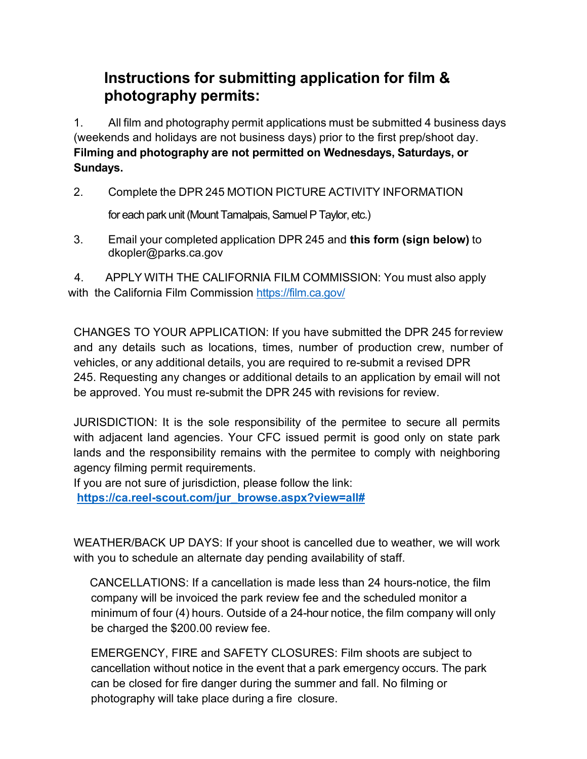## **Instructions for submitting application for film & photography permits:**

1. All film and photography permit applications must be submitted 4 business days (weekends and holidays are not business days) prior to the first prep/shoot day. **Filming and photography are not permitted on Wednesdays, Saturdays, or Sundays.**

2. Complete the DPR 245 MOTION PICTURE ACTIVITY INFORMATION

for each park unit (Mount Tamalpais, Samuel P Taylor, etc.)

3. Email your completed application DPR 245 and **this form (sign below)** to [dkopler@parks.ca.gov](mailto:dkopler@parks.ca.gov)

 4. APPLY WITH THE CALIFORNIA FILM COMMISSION: You must also apply with the California Film Commission <https://film.ca.gov/>

CHANGES TO YOUR APPLICATION: If you have submitted the DPR 245 forreview and any details such as locations, times, number of production crew, number of vehicles, or any additional details, you are required to re-submit a revised DPR 245. Requesting any changes or additional details to an application by email will not be approved. You must re-submit the DPR 245 with revisions for review.

JURISDICTION: It is the sole responsibility of the permitee to secure all permits with adjacent land agencies. Your CFC issued permit is good only on state park lands and the responsibility remains with the permitee to comply with neighboring agency filming permit requirements.

If you are not sure of jurisdiction, please follow the link:

**[https://ca.reel-scout.com/jur\\_browse.aspx?view=all#](https://ca.reel-scout.com/jur_browse.aspx?view=all)**

WEATHER/BACK UP DAYS: If your shoot is cancelled due to weather, we will work with you to schedule an alternate day pending availability of staff.

 CANCELLATIONS: If a cancellation is made less than 24 hours-notice, the film company will be invoiced the park review fee and the scheduled monitor a minimum of four (4) hours. Outside of a 24-hour notice, the film company will only be charged the \$200.00 review fee.

EMERGENCY, FIRE and SAFETY CLOSURES: Film shoots are subject to cancellation without notice in the event that a park emergency occurs. The park can be closed for fire danger during the summer and fall. No filming or photography will take place during a fire closure.